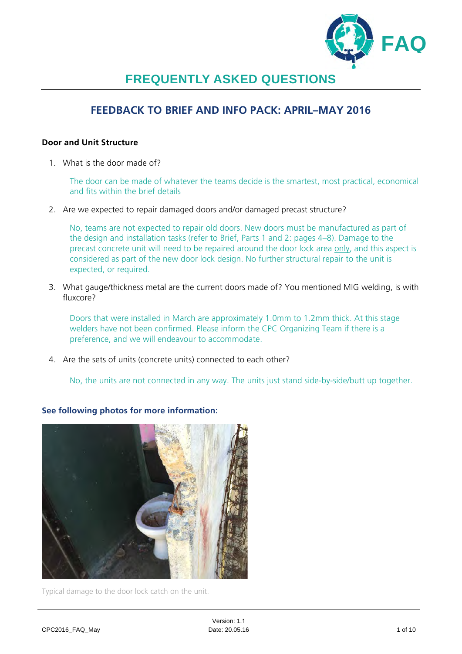

# **FREQUENTLY ASKED QUESTIONS**

# **FEEDBACK TO BRIEF AND INFO PACK: APRIL–MAY 2016**

### **Door and Unit Structure**

1. What is the door made of?

The door can be made of whatever the teams decide is the smartest, most practical, economical and fits within the brief details

2. Are we expected to repair damaged doors and/or damaged precast structure?

No, teams are not expected to repair old doors. New doors must be manufactured as part of the design and installation tasks (refer to Brief, Parts 1 and 2: pages 4–8). Damage to the precast concrete unit will need to be repaired around the door lock area only, and this aspect is considered as part of the new door lock design. No further structural repair to the unit is expected, or required.

3. What gauge/thickness metal are the current doors made of? You mentioned MIG welding, is with fluxcore?

Doors that were installed in March are approximately 1.0mm to 1.2mm thick. At this stage welders have not been confirmed. Please inform the CPC Organizing Team if there is a preference, and we will endeavour to accommodate.

4. Are the sets of units (concrete units) connected to each other?

No, the units are not connected in any way. The units just stand side-by-side/butt up together.



**See following photos for more information:**

Typical damage to the door lock catch on the unit.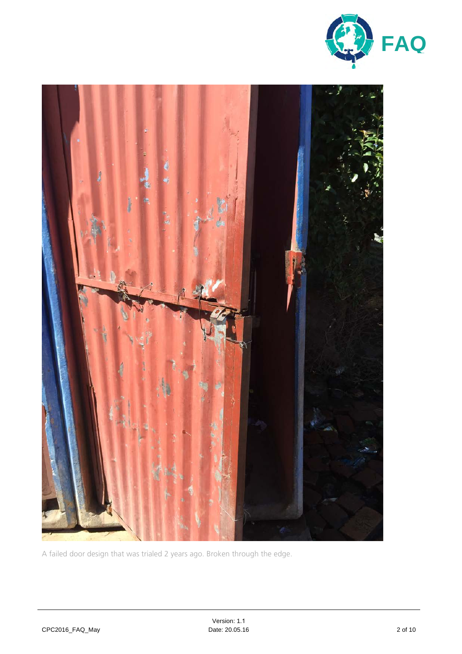



A failed door design that was trialed 2 years ago. Broken through the edge.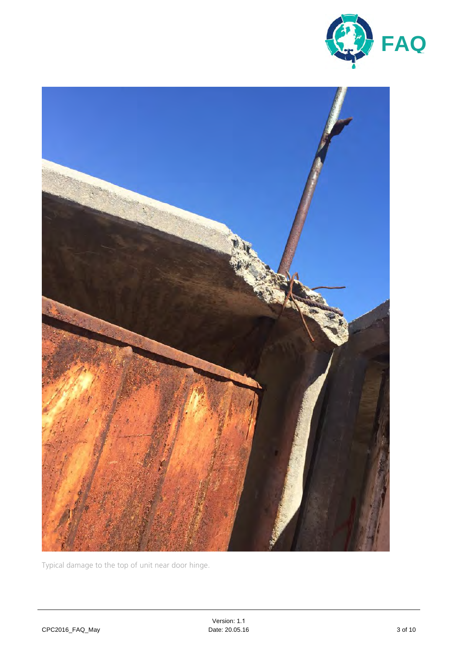



Typical damage to the top of unit near door hinge.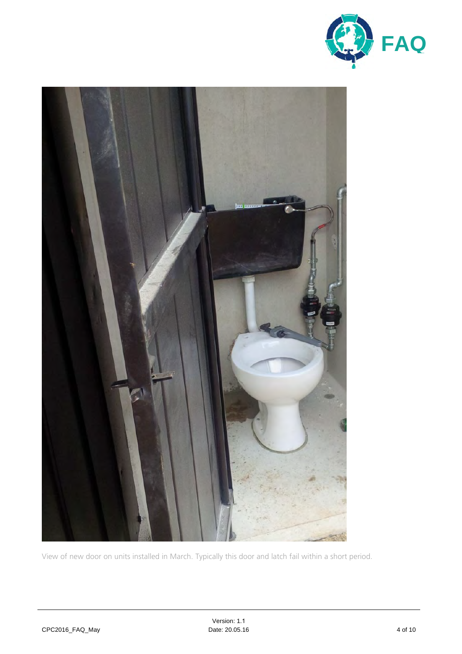



View of new door on units installed in March. Typically this door and latch fail within a short period.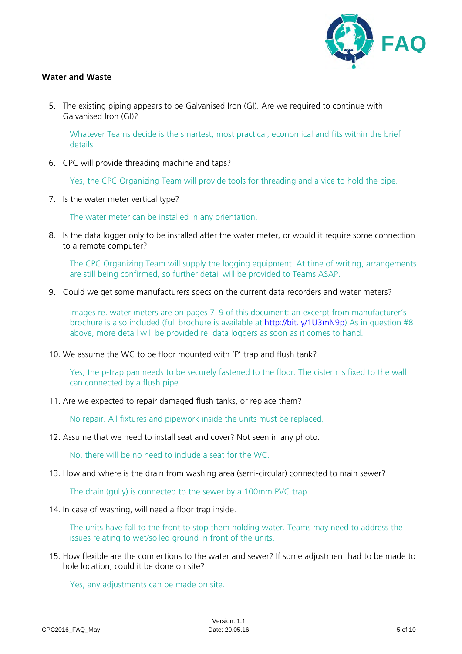

### **Water and Waste**

5. The existing piping appears to be Galvanised Iron (GI). Are we required to continue with Galvanised Iron (GI)?

Whatever Teams decide is the smartest, most practical, economical and fits within the brief details.

6. CPC will provide threading machine and taps?

Yes, the CPC Organizing Team will provide tools for threading and a vice to hold the pipe.

7. Is the water meter vertical type?

The water meter can be installed in any orientation.

8. Is the data logger only to be installed after the water meter, or would it require some connection to a remote computer?

The CPC Organizing Team will supply the logging equipment. At time of writing, arrangements are still being confirmed, so further detail will be provided to Teams ASAP.

9. Could we get some manufacturers specs on the current data recorders and water meters?

Images re. water meters are on pages 7–9 of this document: an excerpt from manufacturer's brochure is also included (full brochure is available at http://bit.ly/1U3mN9p) As in question #8 above, more detail will be provided re. data loggers as soon as it comes to hand.

10. We assume the WC to be floor mounted with 'P' trap and flush tank?

Yes, the p-trap pan needs to be securely fastened to the floor. The cistern is fixed to the wall can connected by a flush pipe.

11. Are we expected to repair damaged flush tanks, or replace them?

No repair. All fixtures and pipework inside the units must be replaced.

12. Assume that we need to install seat and cover? Not seen in any photo.

No, there will be no need to include a seat for the WC.

13. How and where is the drain from washing area (semi-circular) connected to main sewer?

The drain (gully) is connected to the sewer by a 100mm PVC trap.

14. In case of washing, will need a floor trap inside.

The units have fall to the front to stop them holding water. Teams may need to address the issues relating to wet/soiled ground in front of the units.

15. How flexible are the connections to the water and sewer? If some adjustment had to be made to hole location, could it be done on site?

Yes, any adjustments can be made on site.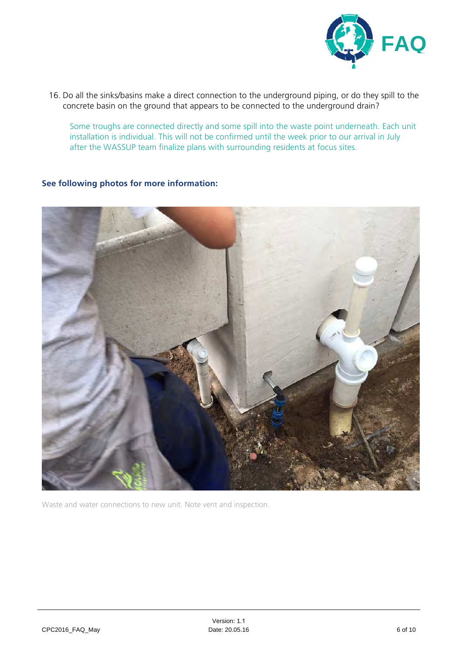

16. Do all the sinks/basins make a direct connection to the underground piping, or do they spill to the concrete basin on the ground that appears to be connected to the underground drain?

Some troughs are connected directly and some spill into the waste point underneath. Each unit installation is individual. This will not be confirmed until the week prior to our arrival in July after the WASSUP team finalize plans with surrounding residents at focus sites.

## **See following photos for more information:**



Waste and water connections to new unit. Note vent and inspection.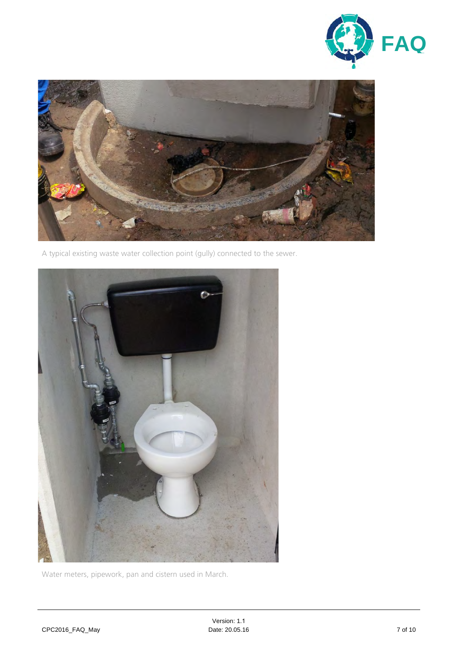



A typical existing waste water collection point (gully) connected to the sewer.



Water meters, pipework, pan and cistern used in March.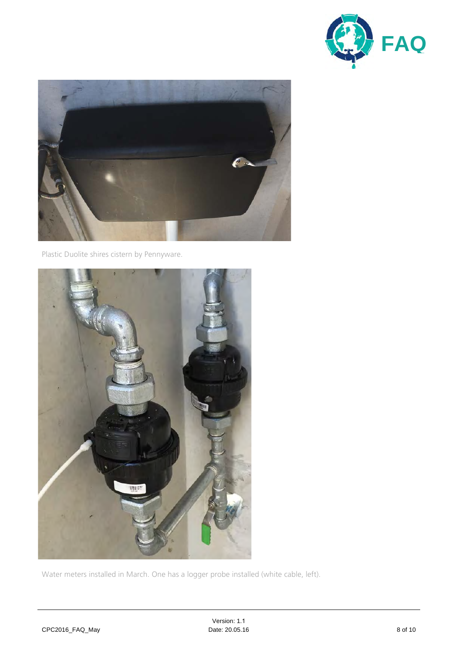



Plastic Duolite shires cistern by Pennyware.



Water meters installed in March. One has a logger probe installed (white cable, left).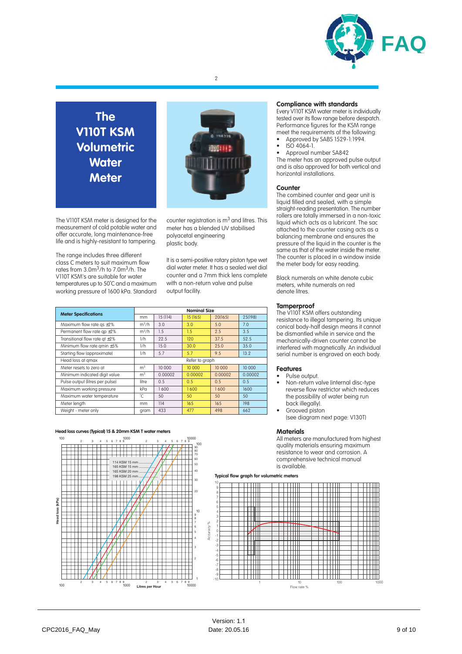

# **The V110T KSM Volumetric Water Meter**

The V110T KSM meter is designed for the measurement of cold potable water and offer accurate, long maintenance-free life and is highly-resistant to tampering.

The range includes three different class C meters to suit maximum flow rates from 3.0m<sup>3</sup>/h to 7.0m<sup>3</sup>/h. The V110T KSM's are suitable for water temperatures up to 50˚C and a maximum working pressure of 1600 kPa. Standard



2

counter registration is  $m<sup>3</sup>$  and litres. This meter has a blended UV stabilised polyacetal engineering plastic body.

It is a semi-positive rotary piston type wet dial water meter. It has a sealed wet dial counter and a 7mm thick lens complete with a non-return valve and pulse output facility.

| <b>Meter Specifications</b>         | <b>Nominal Size</b> |          |          |         |         |
|-------------------------------------|---------------------|----------|----------|---------|---------|
|                                     | mm                  | 15 (114) | 15 (165) | 20(165) | 25(198) |
| Maximum flow rate qs ±2%            | $m^3/h$             | 3.0      | 3.0      | 5.0     | 7.0     |
| Permanent flow rate ap $\pm 2\%$    | $m^3/h$             | 1.5      | 1.5      | 2.5     | 3.5     |
| Transitional flow rate at $\pm 2\%$ | 1/h                 | 22.5     | 120      | 37.5    | 52.5    |
| Minimum flow rate amin $±5\%$       | 1/h                 | 15.0     | 30.0     | 25.0    | 35.0    |
| Starting flow (approximate)         | 1/h                 | 5.7      | 5.7      | 9.5     | 13.2    |
| Head loss at gmax                   | Refer to graph      |          |          |         |         |
| Meter resets to zero at             | m <sup>3</sup>      | 10 000   | 10 000   | 10 000  | 10 000  |
| Minimum indicated digit value       | m <sup>3</sup>      | 0.00002  | 0.00002  | 0.00002 | 0.00002 |
| Pulse output (litres per pulse)     | litre               | 0.5      | 0.5      | 0.5     | 0.5     |
| Maximum working pressure            | kPq                 | 1600     | 1600     | 1600    | 1600    |
| Maximum water temperature           | °C.                 | 50       | 50       | 50      | 50      |
| Meter length                        | mm.                 | 114      | 16.5     | 16.5    | 198     |
| Weight - meter only                 | gram                | 433      | 477      | 498     | 662     |

#### **Compliance with standards**

Every V110T KSM water meter is individually tested over its flow range before despatch. Performance figures for the KSM range meet the requirements of the following:

- Approved by SABS 1529-1:1994. • ISO 4064-1.
- Approval number SA842

The meter has an approved pulse output and is also approved for both vertical and horizontal installations.

#### **Counter**

The combined counter and gear unit is liquid filled and sealed, with a simple straight-reading presentation. The number rollers are totally immersed in a non-toxic liquid which acts as a lubricant. The sac attached to the counter casing acts as a balancing membrane and ensures the pressure of the liquid in the counter is the same as that of the water inside the meter. The counter is placed in a window inside the meter body for easy reading.

Black numerals on white denote cubic meters, white numerals on red denote litres.

### **Tamperproof**

The V110T KSM offers outstanding resistance to illegal tampering. Its unique conical body-half design means it cannot be dismantled while in service and the mechanically-driven counter cannot be interfered with magnetically. An individual serial number is engraved on each body.

#### **Features**

• Pulse output.

- Non-return valve (internal disc-type reverse flow restrictor which reduces the possibility of water being run back illegally). • Grooved piston
- (see diagram next page: V130T)

#### **Materials**

All meters are manufactured from highest quality materials ensuring maximum resistance to wear and corrosion. A comprehensive technical manual is available.